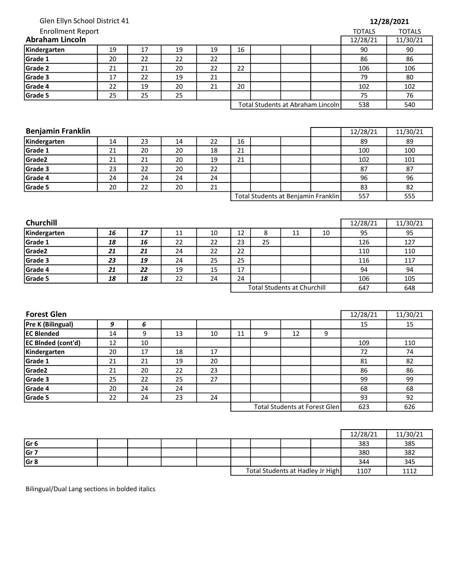| Glen Ellyn School District 41      |  |  |  |  |
|------------------------------------|--|--|--|--|
| Enrollment Report<br>raham Lincoln |  |  |  |  |
|                                    |  |  |  |  |
|                                    |  |  |  |  |

| <b>Enrollment Report</b> |    |    |    |    |                                   |  |  |  | <b>TOTALS</b> | <b>TOTALS</b> |
|--------------------------|----|----|----|----|-----------------------------------|--|--|--|---------------|---------------|
| <b>Abraham Lincoln</b>   |    |    |    |    |                                   |  |  |  | 12/28/21      | 11/30/21      |
| Kindergarten             | 19 | 17 | 19 | 19 | 16                                |  |  |  | 90            | 90            |
| Grade 1                  | 20 | 22 | 22 | 22 |                                   |  |  |  | 86            | 86            |
| Grade 2                  | 21 | 21 | 20 | 22 | 22                                |  |  |  | 106           | 106           |
| Grade 3                  | 17 | 22 | 19 | 21 |                                   |  |  |  | 79            | 80            |
| Grade 4                  | 22 | 19 | 20 | 21 | 20                                |  |  |  | 102           | 102           |
| Grade 5                  | 25 | 25 | 25 |    |                                   |  |  |  | 75            | 76            |
|                          |    |    |    |    | Total Students at Abraham Lincoln |  |  |  | 538           | 540           |

| <b>Benjamin Franklin</b> |    |    |    |    |                                     |  |  | 12/28/21 | 11/30/21 |
|--------------------------|----|----|----|----|-------------------------------------|--|--|----------|----------|
| Kindergarten             | 14 | 23 | 14 | 22 | 16                                  |  |  | 89       | 89       |
| Grade 1                  | 21 | 20 | 20 | 18 | 21                                  |  |  | 100      | 100      |
| Grade <sub>2</sub>       | 21 | 21 | 20 | 19 | 21                                  |  |  | 102      | 101      |
| Grade 3                  | 23 | 22 | 20 | 22 |                                     |  |  | 87       | 87       |
| Grade 4                  | 24 | 24 | 24 | 24 |                                     |  |  | 96       | 96       |
| Grade 5                  | 20 | 22 | 20 | 21 |                                     |  |  | 83       | -82      |
|                          |    |    |    |    | Total Students at Benjamin Franklin |  |  | 557      | 555      |

| <b>Churchill</b> |    |    |    |    |                                    |    |    |     | 12/28/21 | 11/30/21 |
|------------------|----|----|----|----|------------------------------------|----|----|-----|----------|----------|
| Kindergarten     | 16 | 17 | 11 | 10 | 12                                 | Õ  | 11 | 10  | 95       | 95       |
| Grade 1          | 18 | 16 | 22 | 22 | 23                                 | 25 |    |     | 126      | 127      |
| Grade2           | 21 | 21 | 24 | 22 | 22                                 |    |    |     | 110      | 110      |
| Grade 3          | 23 | 19 | 24 | 25 | 25                                 |    |    |     | 116      | 117      |
| Grade 4          | 21 | 22 | 19 | 15 | 17                                 |    |    |     | 94       | 94       |
| Grade 5          | 18 | 18 | 22 | 24 | 24                                 |    |    |     | 106      | 105      |
|                  |    |    |    |    | <b>Total Students at Churchill</b> |    |    | 647 | 648      |          |

| <b>Forest Glen</b>        |    |    |    |    |    |   |                               |     | 12/28/21 | 11/30/21 |
|---------------------------|----|----|----|----|----|---|-------------------------------|-----|----------|----------|
| Pre K (Bilingual)         | 9  | 6  |    |    |    |   |                               |     | 15       | 15       |
| <b>EC Blended</b>         | 14 | 9  | 13 | 10 | 11 | 9 | 12                            | 9   |          |          |
| <b>EC BInded (cont'd)</b> | 12 | 10 |    |    |    |   |                               |     | 109      | 110      |
| Kindergarten              | 20 | 17 | 18 | 17 |    |   |                               |     | 72       | 74       |
| Grade 1                   | 21 | 21 | 19 | 20 |    |   |                               |     | 81       | 82       |
| Grade2                    | 21 | 20 | 22 | 23 |    |   |                               |     | 86       | 86       |
| Grade 3                   | 25 | 22 | 25 | 27 |    |   |                               |     | 99       | 99       |
| Grade 4                   | 20 | 24 | 24 |    |    |   |                               |     | 68       | 68       |
| Grade 5                   | 22 | 24 | 23 | 24 |    |   |                               |     | 93       | 92       |
|                           |    |    |    |    |    |   | Total Students at Forest Glen | 623 | 626      |          |

|                 |  |  |  |                                  | 12/28/21 | 11/30/21 |
|-----------------|--|--|--|----------------------------------|----------|----------|
| Gr <sub>6</sub> |  |  |  |                                  | 383      | 385      |
| Gr 7            |  |  |  |                                  | 380      | 382      |
| Gr <sub>8</sub> |  |  |  |                                  | 344      | 345      |
|                 |  |  |  | Total Students at Hadley Jr High | 1107     | 1112     |

Bilingual/Dual Lang sections in bolded italics